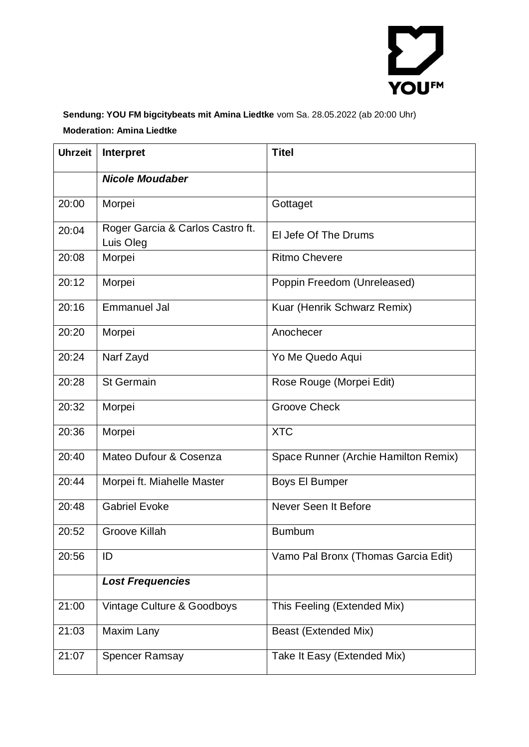

## **Sendung: YOU FM bigcitybeats mit Amina Liedtke** vom Sa. 28.05.2022 (ab 20:00 Uhr) **Moderation: Amina Liedtke**

| <b>Uhrzeit</b> | Interpret                                     | <b>Titel</b>                         |
|----------------|-----------------------------------------------|--------------------------------------|
|                | <b>Nicole Moudaber</b>                        |                                      |
| 20:00          | Morpei                                        | Gottaget                             |
| 20:04          | Roger Garcia & Carlos Castro ft.<br>Luis Oleg | El Jefe Of The Drums                 |
| 20:08          | Morpei                                        | <b>Ritmo Chevere</b>                 |
| 20:12          | Morpei                                        | Poppin Freedom (Unreleased)          |
| 20:16          | <b>Emmanuel Jal</b>                           | Kuar (Henrik Schwarz Remix)          |
| 20:20          | Morpei                                        | Anochecer                            |
| 20:24          | Narf Zayd                                     | Yo Me Quedo Aqui                     |
| 20:28          | <b>St Germain</b>                             | Rose Rouge (Morpei Edit)             |
| 20:32          | Morpei                                        | <b>Groove Check</b>                  |
| 20:36          | Morpei                                        | <b>XTC</b>                           |
| 20:40          | Mateo Dufour & Cosenza                        | Space Runner (Archie Hamilton Remix) |
| 20:44          | Morpei ft. Miahelle Master                    | <b>Boys El Bumper</b>                |
| 20:48          | <b>Gabriel Evoke</b>                          | Never Seen It Before                 |
| 20:52          | <b>Groove Killah</b>                          | <b>Bumbum</b>                        |
| 20:56          | ID                                            | Vamo Pal Bronx (Thomas Garcia Edit)  |
|                | <b>Lost Frequencies</b>                       |                                      |
| 21:00          | Vintage Culture & Goodboys                    | This Feeling (Extended Mix)          |
| 21:03          | Maxim Lany                                    | Beast (Extended Mix)                 |
| 21:07          | <b>Spencer Ramsay</b>                         | Take It Easy (Extended Mix)          |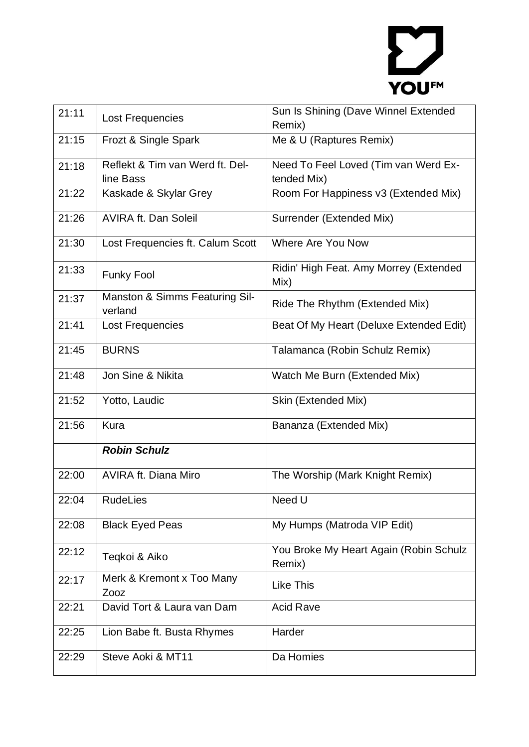

| 21:11 | Lost Frequencies                             | Sun Is Shining (Dave Winnel Extended<br>Remix)      |
|-------|----------------------------------------------|-----------------------------------------------------|
| 21:15 | Frozt & Single Spark                         | Me & U (Raptures Remix)                             |
| 21:18 | Reflekt & Tim van Werd ft. Del-<br>line Bass | Need To Feel Loved (Tim van Werd Ex-<br>tended Mix) |
| 21:22 | Kaskade & Skylar Grey                        | Room For Happiness v3 (Extended Mix)                |
| 21:26 | <b>AVIRA ft. Dan Soleil</b>                  | Surrender (Extended Mix)                            |
| 21:30 | Lost Frequencies ft. Calum Scott             | Where Are You Now                                   |
| 21:33 | <b>Funky Fool</b>                            | Ridin' High Feat. Amy Morrey (Extended<br>Mix)      |
| 21:37 | Manston & Simms Featuring Sil-<br>verland    | Ride The Rhythm (Extended Mix)                      |
| 21:41 | Lost Frequencies                             | Beat Of My Heart (Deluxe Extended Edit)             |
| 21:45 | <b>BURNS</b>                                 | Talamanca (Robin Schulz Remix)                      |
| 21:48 | Jon Sine & Nikita                            | Watch Me Burn (Extended Mix)                        |
| 21:52 | Yotto, Laudic                                | Skin (Extended Mix)                                 |
| 21:56 | <b>Kura</b>                                  | Bananza (Extended Mix)                              |
|       | <b>Robin Schulz</b>                          |                                                     |
| 22:00 | <b>AVIRA ft. Diana Miro</b>                  | The Worship (Mark Knight Remix)                     |
| 22:04 | <b>RudeLies</b>                              | Need U                                              |
| 22:08 | <b>Black Eyed Peas</b>                       | My Humps (Matroda VIP Edit)                         |
| 22:12 | Teqkoi & Aiko                                | You Broke My Heart Again (Robin Schulz<br>Remix)    |
| 22:17 | Merk & Kremont x Too Many<br>Zooz            | <b>Like This</b>                                    |
| 22:21 | David Tort & Laura van Dam                   | <b>Acid Rave</b>                                    |
| 22:25 | Lion Babe ft. Busta Rhymes                   | Harder                                              |
| 22:29 | Steve Aoki & MT11                            | Da Homies                                           |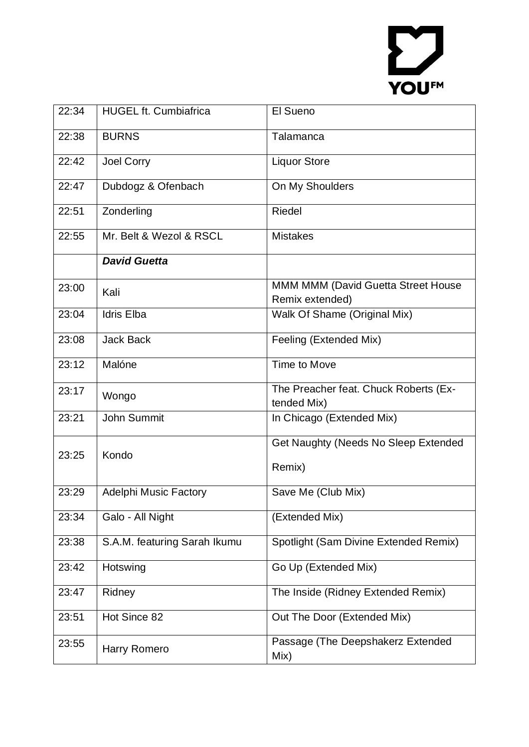## YOUFM

| 22:34 | <b>HUGEL ft. Cumbiafrica</b> | El Sueno                                             |
|-------|------------------------------|------------------------------------------------------|
| 22:38 | <b>BURNS</b>                 | Talamanca                                            |
| 22:42 | Joel Corry                   | <b>Liquor Store</b>                                  |
| 22:47 | Dubdogz & Ofenbach           | On My Shoulders                                      |
| 22:51 | Zonderling                   | <b>Riedel</b>                                        |
| 22:55 | Mr. Belt & Wezol & RSCL      | <b>Mistakes</b>                                      |
|       | <b>David Guetta</b>          |                                                      |
| 23:00 | Kali                         | MMM MMM (David Guetta Street House                   |
|       |                              | Remix extended)                                      |
| 23:04 | <b>Idris Elba</b>            | Walk Of Shame (Original Mix)                         |
| 23:08 | <b>Jack Back</b>             | Feeling (Extended Mix)                               |
| 23:12 | Malóne                       | Time to Move                                         |
| 23:17 | Wongo                        | The Preacher feat. Chuck Roberts (Ex-<br>tended Mix) |
| 23:21 | John Summit                  | In Chicago (Extended Mix)                            |
| 23:25 | Kondo                        | Get Naughty (Needs No Sleep Extended                 |
|       |                              | Remix)                                               |
| 23:29 | <b>Adelphi Music Factory</b> | Save Me (Club Mix)                                   |
| 23:34 | Galo - All Night             | (Extended Mix)                                       |
| 23:38 | S.A.M. featuring Sarah Ikumu | Spotlight (Sam Divine Extended Remix)                |
| 23:42 | Hotswing                     | Go Up (Extended Mix)                                 |
| 23:47 | Ridney                       | The Inside (Ridney Extended Remix)                   |
| 23:51 | Hot Since 82                 | Out The Door (Extended Mix)                          |
| 23:55 | Harry Romero                 | Passage (The Deepshakerz Extended<br>Mix)            |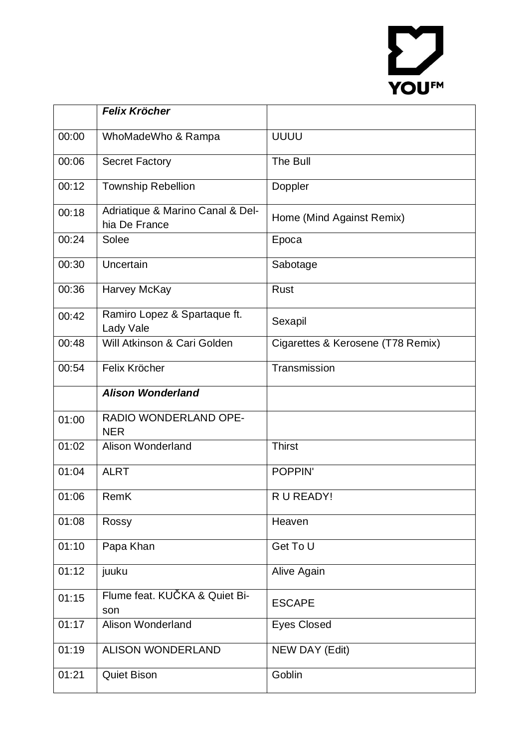## YOUFM

|       | <b>Felix Kröcher</b>                              |                                   |
|-------|---------------------------------------------------|-----------------------------------|
| 00:00 | WhoMadeWho & Rampa                                | <b>UUUU</b>                       |
| 00:06 | <b>Secret Factory</b>                             | The Bull                          |
| 00:12 | <b>Township Rebellion</b>                         | Doppler                           |
| 00:18 | Adriatique & Marino Canal & Del-<br>hia De France | Home (Mind Against Remix)         |
| 00:24 | Solee                                             | Epoca                             |
| 00:30 | Uncertain                                         | Sabotage                          |
| 00:36 | Harvey McKay                                      | <b>Rust</b>                       |
| 00:42 | Ramiro Lopez & Spartaque ft.<br>Lady Vale         | Sexapil                           |
| 00:48 | Will Atkinson & Cari Golden                       | Cigarettes & Kerosene (T78 Remix) |
| 00:54 | Felix Kröcher                                     | Transmission                      |
|       | <b>Alison Wonderland</b>                          |                                   |
| 01:00 | RADIO WONDERLAND OPE-<br><b>NER</b>               |                                   |
| 01:02 | Alison Wonderland                                 | <b>Thirst</b>                     |
| 01:04 | <b>ALRT</b>                                       | <b>POPPIN'</b>                    |
| 01:06 | <b>RemK</b>                                       | R U READY!                        |
| 01:08 | Rossy                                             | Heaven                            |
| 01:10 | Papa Khan                                         | Get To U                          |
| 01:12 | juuku                                             | Alive Again                       |
| 01:15 | Flume feat. KUČKA & Quiet Bi-<br>son              | <b>ESCAPE</b>                     |
| 01:17 | <b>Alison Wonderland</b>                          | <b>Eyes Closed</b>                |
| 01:19 | <b>ALISON WONDERLAND</b>                          | NEW DAY (Edit)                    |
| 01:21 | <b>Quiet Bison</b>                                | Goblin                            |